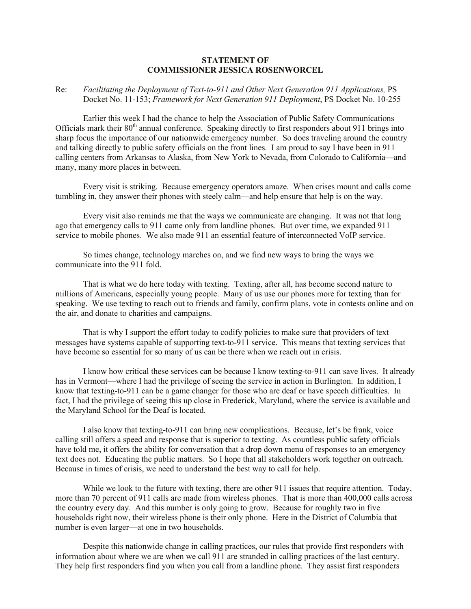## **STATEMENT OF COMMISSIONER JESSICA ROSENWORCEL**

## Re: *Facilitating the Deployment of Text-to-911 and Other Next Generation 911 Applications,* PS Docket No. 11-153; *Framework for Next Generation 911 Deployment*, PS Docket No. 10-255

Earlier this week I had the chance to help the Association of Public Safety Communications Officials mark their  $80<sup>th</sup>$  annual conference. Speaking directly to first responders about 911 brings into sharp focus the importance of our nationwide emergency number. So does traveling around the country and talking directly to public safety officials on the front lines. I am proud to say I have been in 911 calling centers from Arkansas to Alaska, from New York to Nevada, from Colorado to California—and many, many more places in between.

Every visit is striking. Because emergency operators amaze. When crises mount and calls come tumbling in, they answer their phones with steely calm—and help ensure that help is on the way.

Every visit also reminds me that the ways we communicate are changing. It was not that long ago that emergency calls to 911 came only from landline phones. But over time, we expanded 911 service to mobile phones. We also made 911 an essential feature of interconnected VoIP service.

So times change, technology marches on, and we find new ways to bring the ways we communicate into the 911 fold.

That is what we do here today with texting. Texting, after all, has become second nature to millions of Americans, especially young people. Many of us use our phones more for texting than for speaking. We use texting to reach out to friends and family, confirm plans, vote in contests online and on the air, and donate to charities and campaigns.

That is why I support the effort today to codify policies to make sure that providers of text messages have systems capable of supporting text-to-911 service. This means that texting services that have become so essential for so many of us can be there when we reach out in crisis.

I know how critical these services can be because I know texting-to-911 can save lives. It already has in Vermont—where I had the privilege of seeing the service in action in Burlington. In addition, I know that texting-to-911 can be a game changer for those who are deaf or have speech difficulties. In fact, I had the privilege of seeing this up close in Frederick, Maryland, where the service is available and the Maryland School for the Deaf is located.

I also know that texting-to-911 can bring new complications. Because, let's be frank, voice calling still offers a speed and response that is superior to texting. As countless public safety officials have told me, it offers the ability for conversation that a drop down menu of responses to an emergency text does not. Educating the public matters. So I hope that all stakeholders work together on outreach. Because in times of crisis, we need to understand the best way to call for help.

While we look to the future with texting, there are other 911 issues that require attention. Today, more than 70 percent of 911 calls are made from wireless phones. That is more than 400,000 calls across the country every day. And this number is only going to grow. Because for roughly two in five households right now, their wireless phone is their only phone. Here in the District of Columbia that number is even larger—at one in two households.

Despite this nationwide change in calling practices, our rules that provide first responders with information about where we are when we call 911 are stranded in calling practices of the last century. They help first responders find you when you call from a landline phone. They assist first responders